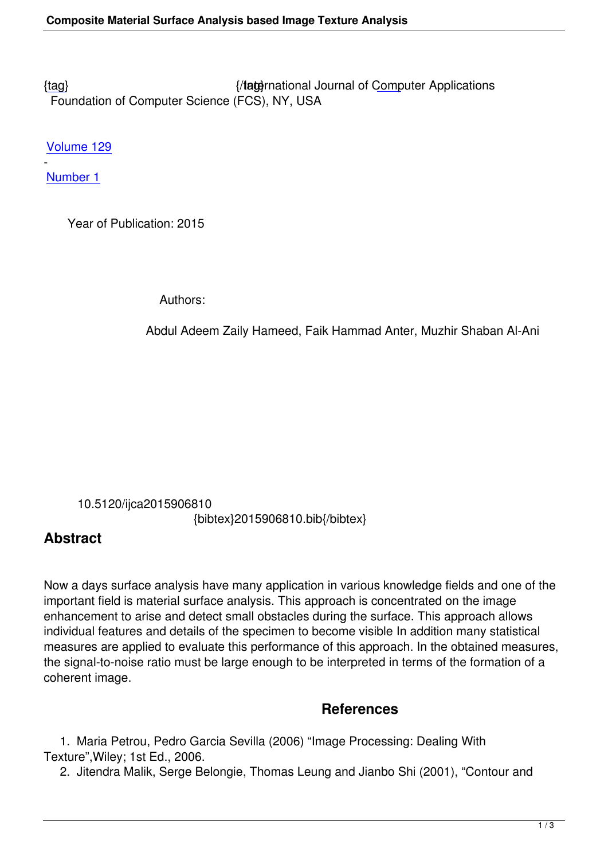{tag} International Journal of Computer Applications Foundation of Computer Science (FCS), NY, USA

[Volu](/research/volume129/number1/hameed-2015-ijca-906810.pdf)me 129

- Number 1

 [Year o](/archives/volume129/number1)f Publication: 2015

Authors:

Abdul Adeem Zaily Hameed, Faik Hammad Anter, Muzhir Shaban Al-Ani

 10.5120/ijca2015906810 {bibtex}2015906810.bib{/bibtex}

## **Abstract**

Now a days surface analysis have many application in various knowledge fields and one of the important field is material surface analysis. This approach is concentrated on the image enhancement to arise and detect small obstacles during the surface. This approach allows individual features and details of the specimen to become visible In addition many statistical measures are applied to evaluate this performance of this approach. In the obtained measures, the signal-to-noise ratio must be large enough to be interpreted in terms of the formation of a coherent image.

## **References**

 1. Maria Petrou, Pedro Garcia Sevilla (2006) "Image Processing: Dealing With Texture",Wiley; 1st Ed., 2006.

2. Jitendra Malik, Serge Belongie, Thomas Leung and Jianbo Shi (2001), "Contour and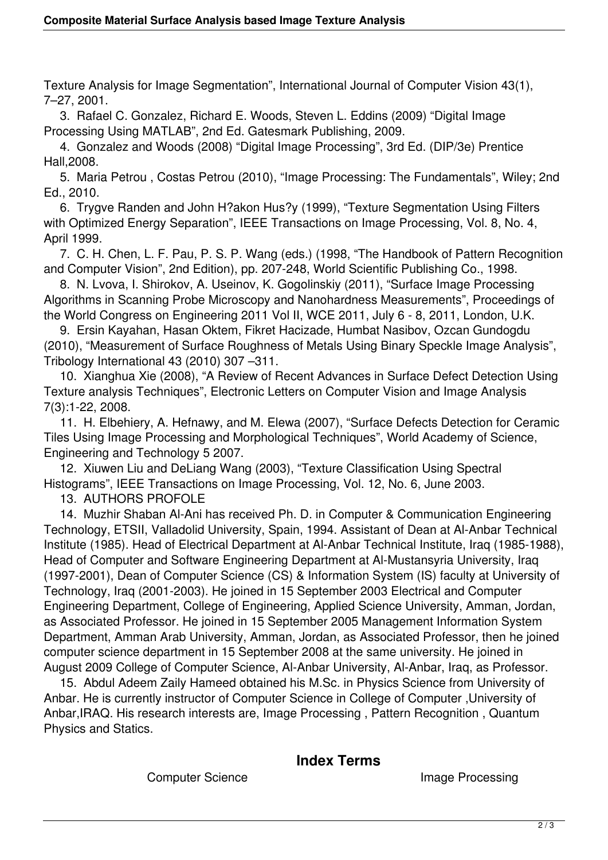Texture Analysis for Image Segmentation", International Journal of Computer Vision 43(1), 7–27, 2001.

 3. Rafael C. Gonzalez, Richard E. Woods, Steven L. Eddins (2009) "Digital Image Processing Using MATLAB", 2nd Ed. Gatesmark Publishing, 2009.

 4. Gonzalez and Woods (2008) "Digital Image Processing", 3rd Ed. (DIP/3e) Prentice Hall,2008.

 5. Maria Petrou , Costas Petrou (2010), "Image Processing: The Fundamentals", Wiley; 2nd Ed., 2010.

 6. Trygve Randen and John H?akon Hus?y (1999), "Texture Segmentation Using Filters with Optimized Energy Separation", IEEE Transactions on Image Processing, Vol. 8, No. 4, April 1999.

 7. C. H. Chen, L. F. Pau, P. S. P. Wang (eds.) (1998, "The Handbook of Pattern Recognition and Computer Vision", 2nd Edition), pp. 207-248, World Scientific Publishing Co., 1998.

 8. N. Lvova, I. Shirokov, A. Useinov, K. Gogolinskiy (2011), "Surface Image Processing Algorithms in Scanning Probe Microscopy and Nanohardness Measurements", Proceedings of the World Congress on Engineering 2011 Vol II, WCE 2011, July 6 - 8, 2011, London, U.K.

 9. Ersin Kayahan, Hasan Oktem, Fikret Hacizade, Humbat Nasibov, Ozcan Gundogdu (2010), "Measurement of Surface Roughness of Metals Using Binary Speckle Image Analysis", Tribology International 43 (2010) 307 –311.

 10. Xianghua Xie (2008), "A Review of Recent Advances in Surface Defect Detection Using Texture analysis Techniques", Electronic Letters on Computer Vision and Image Analysis 7(3):1-22, 2008.

 11. H. Elbehiery, A. Hefnawy, and M. Elewa (2007), "Surface Defects Detection for Ceramic Tiles Using Image Processing and Morphological Techniques", World Academy of Science, Engineering and Technology 5 2007.

 12. Xiuwen Liu and DeLiang Wang (2003), "Texture Classification Using Spectral Histograms", IEEE Transactions on Image Processing, Vol. 12, No. 6, June 2003.

13. AUTHORS PROFOLE

 14. Muzhir Shaban Al-Ani has received Ph. D. in Computer & Communication Engineering Technology, ETSII, Valladolid University, Spain, 1994. Assistant of Dean at Al-Anbar Technical Institute (1985). Head of Electrical Department at Al-Anbar Technical Institute, Iraq (1985-1988), Head of Computer and Software Engineering Department at Al-Mustansyria University, Iraq (1997-2001), Dean of Computer Science (CS) & Information System (IS) faculty at University of Technology, Iraq (2001-2003). He joined in 15 September 2003 Electrical and Computer Engineering Department, College of Engineering, Applied Science University, Amman, Jordan, as Associated Professor. He joined in 15 September 2005 Management Information System Department, Amman Arab University, Amman, Jordan, as Associated Professor, then he joined computer science department in 15 September 2008 at the same university. He joined in August 2009 College of Computer Science, Al-Anbar University, Al-Anbar, Iraq, as Professor.

 15. Abdul Adeem Zaily Hameed obtained his M.Sc. in Physics Science from University of Anbar. He is currently instructor of Computer Science in College of Computer ,University of Anbar, IRAQ. His research interests are, Image Processing, Pattern Recognition, Quantum Physics and Statics.

## **Index Terms**

Computer Science **Image Processing**